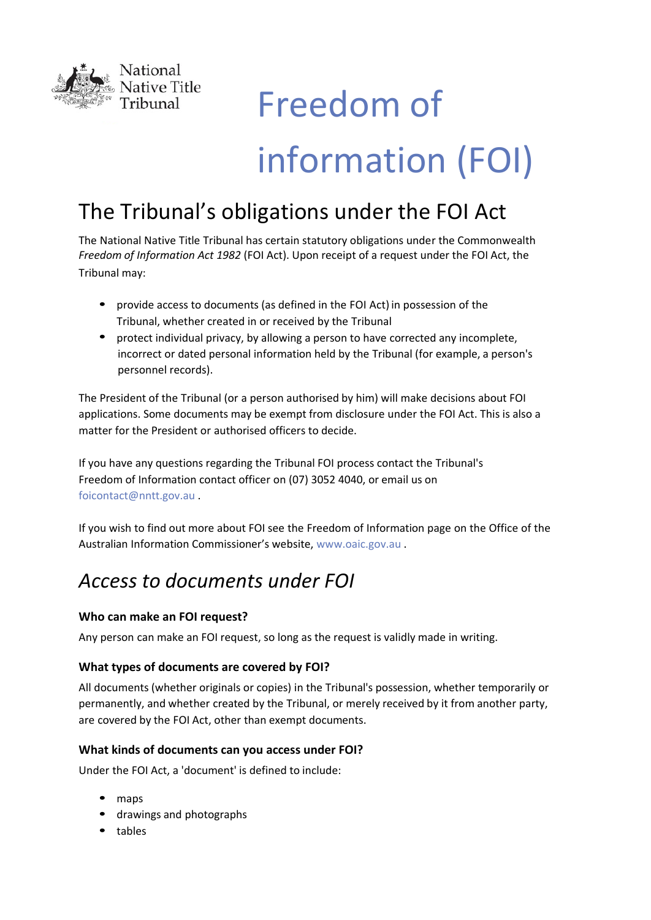

# Freedom of information (FOI)

# The Tribunal's obligations under the FOI Act

The National Native Title Tribunal has certain statutory obligations under the Commonwealth *Freedom of Information Act 1982* (FOI Act). Upon receipt of a request under the FOI Act, the Tribunal may:

- provide access to documents (as defined in the FOI Act) in possession of the Tribunal, whether created in or received by the Tribunal
- protect individual privacy, by allowing a person to have corrected any incomplete, incorrect or dated personal information held by the Tribunal (for example, a person's personnel records).

The President of the Tribunal (or a person authorised by him) will make decisions about FOI applications. Some documents may be exempt from disclosure under the FOI Act. This is also a matter for the President or authorised officers to decide.

If you have any questions regarding the Tribunal FOI process contact the Tribunal's Freedom of Information contact officer on (07) 3052 4040, or email us on foicontact[@nntt.g](mailto:foi@nntt.gov.au)ov.au .

If you wish to find out more about FOI see the Freedom of Information page on the Office of the Australian Information Commissioner's website, www.o[aic.gov.au .](http://www.oaic.gov.au/) 

# *Access to documents under FOI*

## **Who can make an FOI request?**

Any person can make an FOI request, so long as the request is validly made in writing.

## **What types of documents are covered by FOI?**

All documents (whether originals or copies) in the Tribunal's possession, whether temporarily or permanently, and whether created by the Tribunal, or merely received by it from another party, are covered by the FOI Act, other than exempt documents.

## **What kinds of documents can you access under FOI?**

Under the FOI Act, a 'document' is defined to include:

- maps
- drawings and photographs
- tables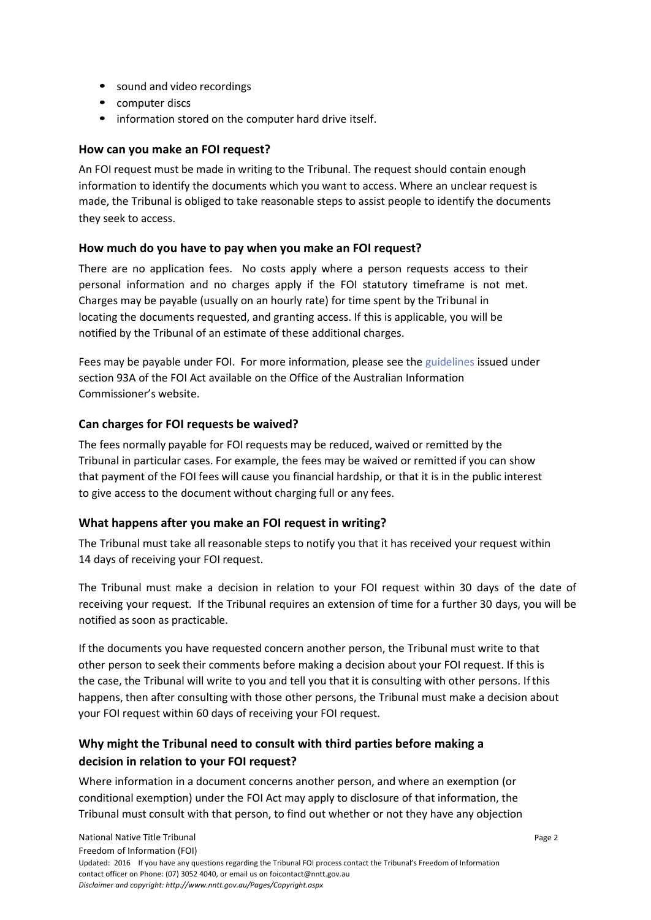- sound and video recordings
- computer discs
- information stored on the computer hard drive itself.

#### **How can you make an FOI request?**

An FOI request must be made in writing to the Tribunal. The request should contain enough information to identify the documents which you want to access. Where an unclear request is made, the Tribunal is obliged to take reasonable steps to assist people to identify the documents they seek to access.

#### **How much do you have to pay when you make an FOI request?**

There are no application fees. No costs apply where a person requests access to their personal information and no charges apply if the FOI statutory timeframe is not met. Charges may be payable (usually on an hourly rate) for time spent by the Tribunal in locating the documents requested, and granting access. If this is applicable, you will be notified by the Tribunal of an estimate of these additional charges.

Fees may be payable under FOI. For more information, please see the guidelines [issued u](https://www.oaic.gov.au/freedom-of-information/foi-guidelines)nder section 93A of the FOI Act available on the Office of the Australian Information Commissioner's website.

## **Can charges for FOI requests be waived?**

The fees normally payable for FOI requests may be reduced, waived or remitted by the Tribunal in particular cases. For example, the fees may be waived or remitted if you can show that payment of the FOI fees will cause you financial hardship, or that it is in the public interest to give access to the document without charging full or any fees.

#### **What happens after you make an FOI request in writing?**

The Tribunal must take all reasonable steps to notify you that it has received your request within 14 days of receiving your FOI request.

The Tribunal must make a decision in relation to your FOI request within 30 days of the date of receiving your request. If the Tribunal requires an extension of time for a further 30 days, you will be notified as soon as practicable.

If the documents you have requested concern another person, the Tribunal must write to that other person to seek their comments before making a decision about your FOI request. If this is the case, the Tribunal will write to you and tell you that it is consulting with other persons. If this happens, then after consulting with those other persons, the Tribunal must make a decision about your FOI request within 60 days of receiving your FOI request.

# **Why might the Tribunal need to consult with third parties before making a decision in relation to your FOI request?**

Where information in a document concerns another person, and where an exemption (or conditional exemption) under the FOI Act may apply to disclosure of that information, the Tribunal must consult with that person, to find out whether or not they have any objection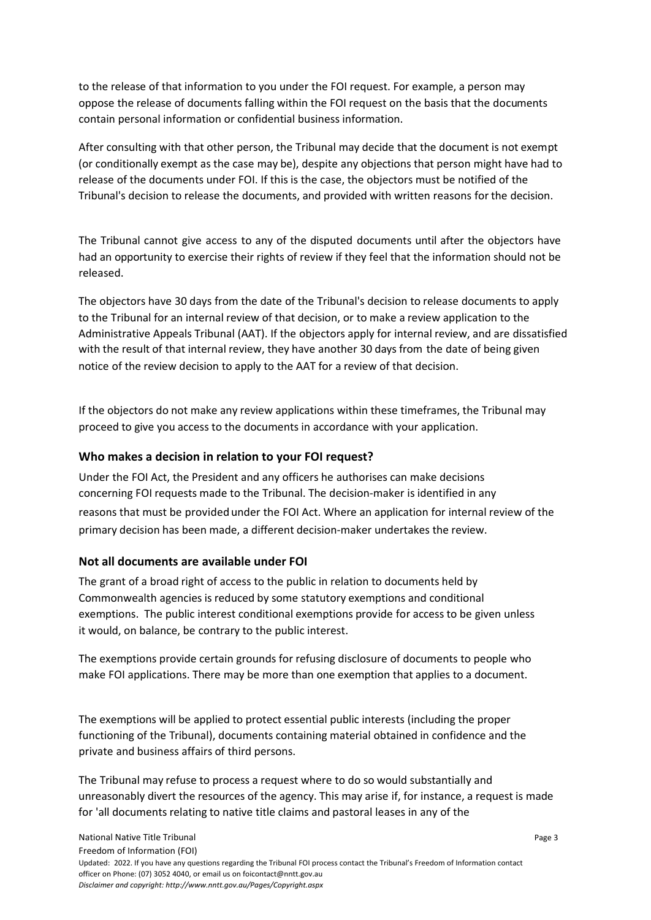to the release of that information to you under the FOI request. For example, a person may oppose the release of documents falling within the FOI request on the basis that the documents contain personal information or confidential business information.

After consulting with that other person, the Tribunal may decide that the document is not exempt (or conditionally exempt as the case may be), despite any objections that person might have had to release of the documents under FOI. If this is the case, the objectors must be notified of the Tribunal's decision to release the documents, and provided with written reasons for the decision.

The Tribunal cannot give access to any of the disputed documents until after the objectors have had an opportunity to exercise their rights of review if they feel that the information should not be released.

The objectors have 30 days from the date of the Tribunal's decision to release documents to apply to the Tribunal for an internal review of that decision, or to make a review application to the Administrative Appeals Tribunal (AAT). If the objectors apply for internal review, and are dissatisfied with the result of that internal review, they have another 30 days from the date of being given notice of the review decision to apply to the AAT for a review of that decision.

If the objectors do not make any review applications within these timeframes, the Tribunal may proceed to give you access to the documents in accordance with your application.

#### **Who makes a decision in relation to your FOI request?**

Under the FOI Act, the President and any officers he authorises can make decisions concerning FOI requests made to the Tribunal. The decision-maker is identified in any reasons that must be provided under the FOI Act. Where an application for internal review of the primary decision has been made, a different decision-maker undertakes the review.

#### **Not all documents are available under FOI**

The grant of a broad right of access to the public in relation to documents held by Commonwealth agencies is reduced by some statutory exemptions and conditional exemptions. The public interest conditional exemptions provide for access to be given unless it would, on balance, be contrary to the public interest.

The exemptions provide certain grounds for refusing disclosure of documents to people who make FOI applications. There may be more than one exemption that applies to a document.

The exemptions will be applied to protect essential public interests (including the proper functioning of the Tribunal), documents containing material obtained in confidence and the private and business affairs of third persons.

The Tribunal may refuse to process a request where to do so would substantially and unreasonably divert the resources of the agency. This may arise if, for instance, a request is made for 'all documents relating to native title claims and pastoral leases in any of the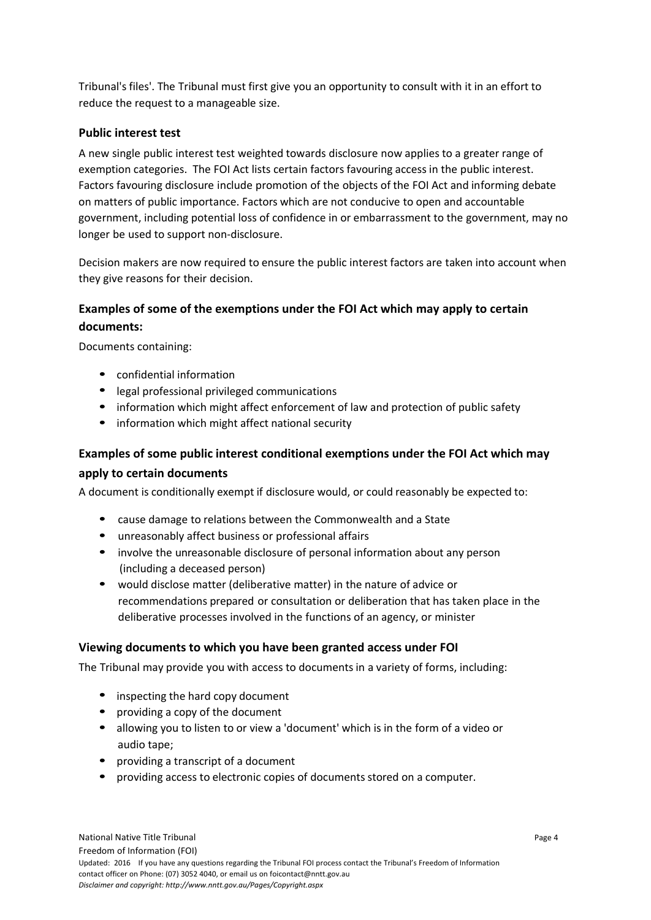Tribunal's files'. The Tribunal must first give you an opportunity to consult with it in an effort to reduce the request to a manageable size.

#### **Public interest test**

A new single public interest test weighted towards disclosure now applies to a greater range of exemption categories. The FOI Act lists certain factors favouring access in the public interest. Factors favouring disclosure include promotion of the objects of the FOI Act and informing debate on matters of public importance. Factors which are not conducive to open and accountable government, including potential loss of confidence in or embarrassment to the government, may no longer be used to support non-disclosure.

Decision makers are now required to ensure the public interest factors are taken into account when they give reasons for their decision.

# **Examples of some of the exemptions under the FOI Act which may apply to certain documents:**

Documents containing:

- confidential information
- legal professional privileged communications
- information which might affect enforcement of law and protection of public safety
- information which might affect national security

# **Examples of some public interest conditional exemptions under the FOI Act which may**

#### **apply to certain documents**

A document is conditionally exempt if disclosure would, or could reasonably be expected to:

- cause damage to relations between the Commonwealth and a State
- unreasonably affect business or professional affairs
- involve the unreasonable disclosure of personal information about any person (including a deceased person)
- would disclose matter (deliberative matter) in the nature of advice or recommendations prepared or consultation or deliberation that has taken place in the deliberative processes involved in the functions of an agency, or minister

#### **Viewing documents to which you have been granted access under FOI**

The Tribunal may provide you with access to documents in a variety of forms, including:

- inspecting the hard copy document
- providing a copy of the document
- allowing you to listen to or view a 'document' which is in the form of a video or audio tape;
- providing a transcript of a document
- providing access to electronic copies of documents stored on a computer.

Page 4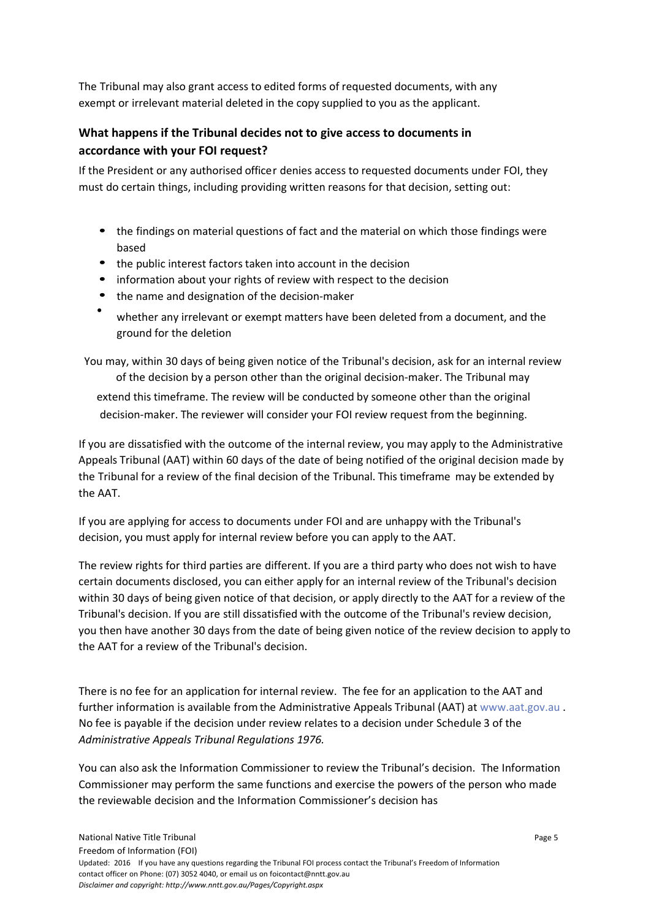The Tribunal may also grant access to edited forms of requested documents, with any exempt or irrelevant material deleted in the copy supplied to you as the applicant.

## **What happens if the Tribunal decides not to give access to documents in accordance with your FOI request?**

If the President or any authorised officer denies access to requested documents under FOI, they must do certain things, including providing written reasons for that decision, setting out:

- the findings on material questions of fact and the material on which those findings were based
- the public interest factors taken into account in the decision
- information about your rights of review with respect to the decision
- the name and designation of the decision-maker
- whether any irrelevant or exempt matters have been deleted from a document, and the ground for the deletion

You may, within 30 days of being given notice of the Tribunal's decision, ask for an internal review of the decision by a person other than the original decision-maker. The Tribunal may extend this timeframe. The review will be conducted by someone other than the original decision-maker. The reviewer will consider your FOI review request from the beginning.

If you are dissatisfied with the outcome of the internal review, you may apply to the Administrative Appeals Tribunal (AAT) within 60 days of the date of being notified of the original decision made by the Tribunal for a review of the final decision of the Tribunal. This timeframe may be extended by the AAT.

If you are applying for access to documents under FOI and are unhappy with the Tribunal's decision, you must apply for internal review before you can apply to the AAT.

The review rights for third parties are different. If you are a third party who does not wish to have certain documents disclosed, you can either apply for an internal review of the Tribunal's decision within 30 days of being given notice of that decision, or apply directly to the AAT for a review of the Tribunal's decision. If you are still dissatisfied with the outcome of the Tribunal's review decision, you then have another 30 days from the date of being given notice of the review decision to apply to the AAT for a review of the Tribunal's decision.

There is no fee for an application for internal review. The fee for an application to the AAT and further information is available from the Administrative Appeals Tribunal (AAT) at www.aat.gov.au . No fee [is payable if](http://www.aat.gov.au/) the decision under review relates to a decision under Schedule 3 of the *Administrative Appeals Tribunal Regulations 1976.*

You can also ask the Information Commissioner to review the Tribunal's decision. The Information Commissioner may perform the same functions and exercise the powers of the person who made the reviewable decision and the Information Commissioner's decision has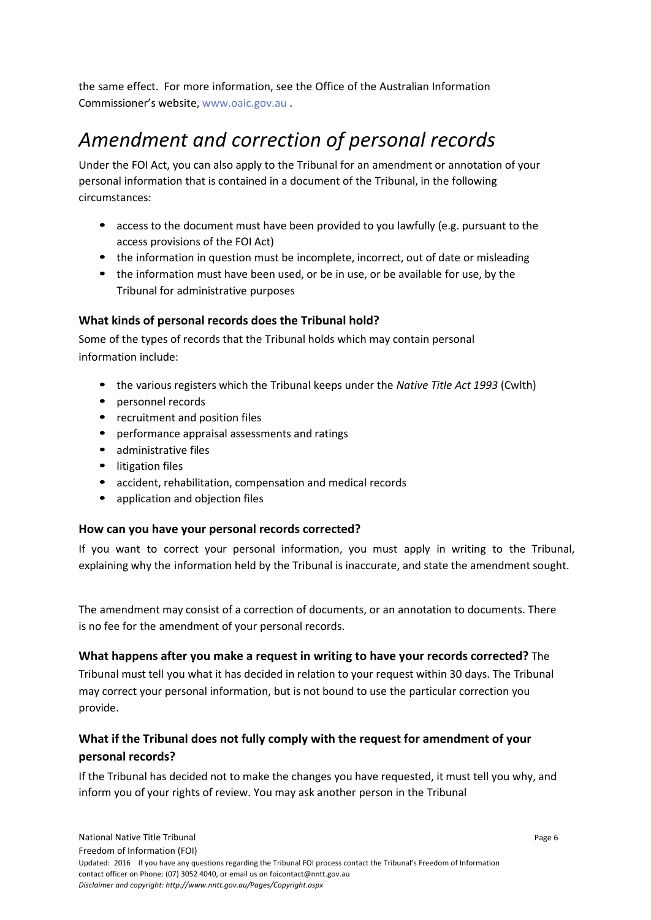the same effect. For more information, see the Office of the Australian Information Commissioner's website, w[ww.oaic.gov.au](http://www.oaic.gov.au/) .

# *Amendment and correction of personal records*

Under the FOI Act, you can also apply to the Tribunal for an amendment or annotation of your personal information that is contained in a document of the Tribunal, in the following circumstances:

- access to the document must have been provided to you lawfully (e.g. pursuant to the access provisions of the FOI Act)
- the information in question must be incomplete, incorrect, out of date or misleading
- the information must have been used, or be in use, or be available for use, by the Tribunal for administrative purposes

#### **What kinds of personal records does the Tribunal hold?**

Some of the types of records that the Tribunal holds which may contain personal information include:

- the various registers which the Tribunal keeps under the *Native Title Act 1993* (Cwlth)
- personnel records
- recruitment and position files
- performance appraisal assessments and ratings
- administrative files
- litigation files
- accident, rehabilitation, compensation and medical records
- application and objection files

#### **How can you have your personal records corrected?**

If you want to correct your personal information, you must apply in writing to the Tribunal, explaining why the information held by the Tribunal is inaccurate, and state the amendment sought.

The amendment may consist of a correction of documents, or an annotation to documents. There is no fee for the amendment of your personal records.

#### **What happens after you make a request in writing to have your records corrected?** The

Tribunal must tell you what it has decided in relation to your request within 30 days. The Tribunal may correct your personal information, but is not bound to use the particular correction you provide.

# **What if the Tribunal does not fully comply with the request for amendment of your personal records?**

If the Tribunal has decided not to make the changes you have requested, it must tell you why, and inform you of your rights of review. You may ask another person in the Tribunal